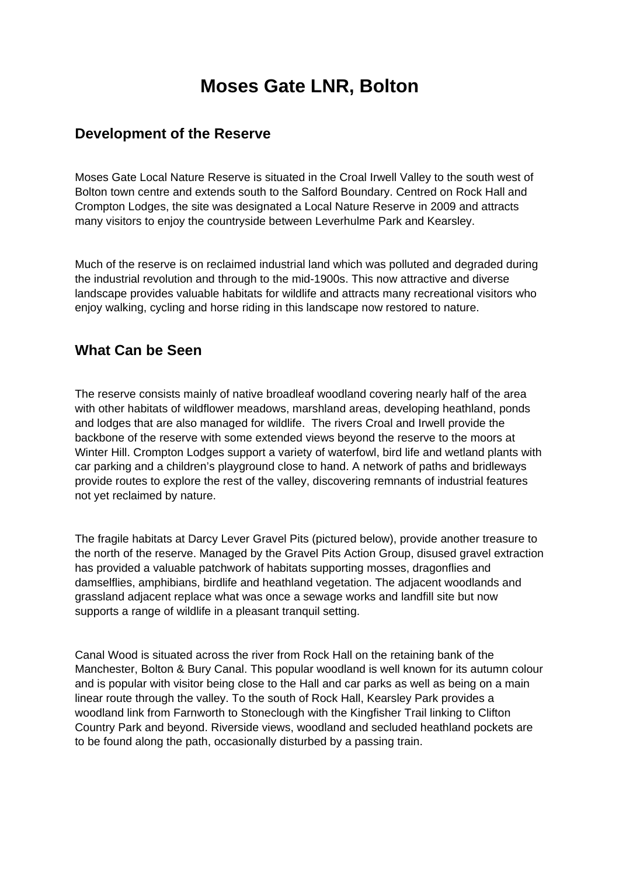# **Moses Gate LNR, Bolton**

#### **Development of the Reserve**

Moses Gate Local Nature Reserve is situated in the Croal Irwell Valley to the south west of Bolton town centre and extends south to the Salford Boundary. Centred on Rock Hall and Crompton Lodges, the site was designated a Local Nature Reserve in 2009 and attracts many visitors to enjoy the countryside between Leverhulme Park and Kearsley.

Much of the reserve is on reclaimed industrial land which was polluted and degraded during the industrial revolution and through to the mid-1900s. This now attractive and diverse landscape provides valuable habitats for wildlife and attracts many recreational visitors who enjoy walking, cycling and horse riding in this landscape now restored to nature.

### **What Can be Seen**

The reserve consists mainly of native broadleaf woodland covering nearly half of the area with other habitats of wildflower meadows, marshland areas, developing heathland, ponds and lodges that are also managed for wildlife. The rivers Croal and Irwell provide the backbone of the reserve with some extended views beyond the reserve to the moors at Winter Hill. Crompton Lodges support a variety of waterfowl, bird life and wetland plants with car parking and a children's playground close to hand. A network of paths and bridleways provide routes to explore the rest of the valley, discovering remnants of industrial features not yet reclaimed by nature.

The fragile habitats at Darcy Lever Gravel Pits (pictured below), provide another treasure to the north of the reserve. Managed by the Gravel Pits Action Group, disused gravel extraction has provided a valuable patchwork of habitats supporting mosses, dragonflies and damselflies, amphibians, birdlife and heathland vegetation. The adjacent woodlands and grassland adjacent replace what was once a sewage works and landfill site but now supports a range of wildlife in a pleasant tranquil setting.

Canal Wood is situated across the river from Rock Hall on the retaining bank of the Manchester, Bolton & Bury Canal. This popular woodland is well known for its autumn colour and is popular with visitor being close to the Hall and car parks as well as being on a main linear route through the valley. To the south of Rock Hall, Kearsley Park provides a woodland link from Farnworth to Stoneclough with the Kingfisher Trail linking to Clifton Country Park and beyond. Riverside views, woodland and secluded heathland pockets are to be found along the path, occasionally disturbed by a passing train.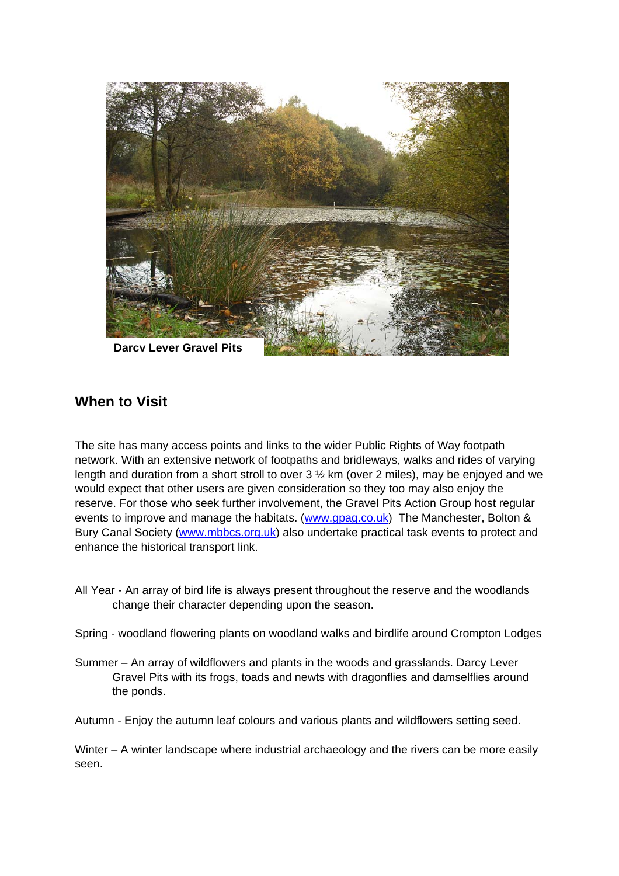

## **When to Visit**

The site has many access points and links to the wider Public Rights of Way footpath network. With an extensive network of footpaths and bridleways, walks and rides of varying length and duration from a short stroll to over 3 ½ km (over 2 miles), may be enjoyed and we would expect that other users are given consideration so they too may also enjoy the reserve. For those who seek further involvement, the Gravel Pits Action Group host regular events to improve and manage the habitats. (www.gpag.co.uk)The Manchester, Bolton & Bury Canal Society (www.mbbcs.org.uk) also undertake practical task events to protect and enhance the historical transport link.

- All Year An array of bird life is always present throughout the reserve and the woodlands change their character depending upon the season.
- Spring woodland flowering plants on woodland walks and birdlife around Crompton Lodges
- Summer An array of wildflowers and plants in the woods and grasslands. Darcy Lever Gravel Pits with its frogs, toads and newts with dragonflies and damselflies around the ponds.
- Autumn Enjoy the autumn leaf colours and various plants and wildflowers setting seed.

Winter – A winter landscape where industrial archaeology and the rivers can be more easily seen.